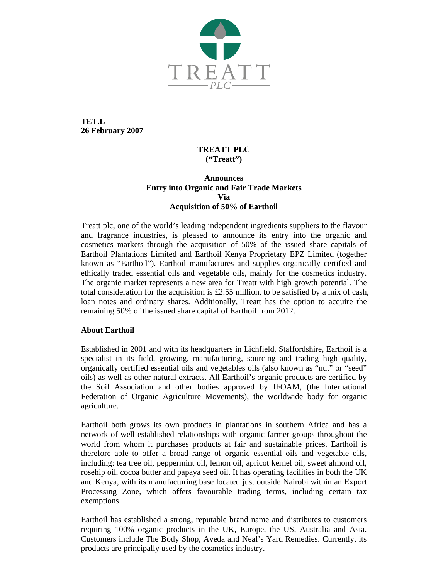

**TET.L 26 February 2007** 

## **TREATT PLC ("Treatt")**

# **Announces Entry into Organic and Fair Trade Markets Via Acquisition of 50% of Earthoil**

Treatt plc, one of the world's leading independent ingredients suppliers to the flavour and fragrance industries, is pleased to announce its entry into the organic and cosmetics markets through the acquisition of 50% of the issued share capitals of Earthoil Plantations Limited and Earthoil Kenya Proprietary EPZ Limited (together known as "Earthoil"). Earthoil manufactures and supplies organically certified and ethically traded essential oils and vegetable oils, mainly for the cosmetics industry. The organic market represents a new area for Treatt with high growth potential. The total consideration for the acquisition is £2.55 million, to be satisfied by a mix of cash, loan notes and ordinary shares. Additionally, Treatt has the option to acquire the remaining 50% of the issued share capital of Earthoil from 2012.

# **About Earthoil**

Established in 2001 and with its headquarters in Lichfield, Staffordshire, Earthoil is a specialist in its field, growing, manufacturing, sourcing and trading high quality, organically certified essential oils and vegetables oils (also known as "nut" or "seed" oils) as well as other natural extracts. All Earthoil's organic products are certified by the Soil Association and other bodies approved by IFOAM, (the International Federation of Organic Agriculture Movements), the worldwide body for organic agriculture.

Earthoil both grows its own products in plantations in southern Africa and has a network of well-established relationships with organic farmer groups throughout the world from whom it purchases products at fair and sustainable prices. Earthoil is therefore able to offer a broad range of organic essential oils and vegetable oils, including: tea tree oil, peppermint oil, lemon oil, apricot kernel oil, sweet almond oil, rosehip oil, cocoa butter and papaya seed oil. It has operating facilities in both the UK and Kenya, with its manufacturing base located just outside Nairobi within an Export Processing Zone, which offers favourable trading terms, including certain tax exemptions.

Earthoil has established a strong, reputable brand name and distributes to customers requiring 100% organic products in the UK, Europe, the US, Australia and Asia. Customers include The Body Shop, Aveda and Neal's Yard Remedies. Currently, its products are principally used by the cosmetics industry.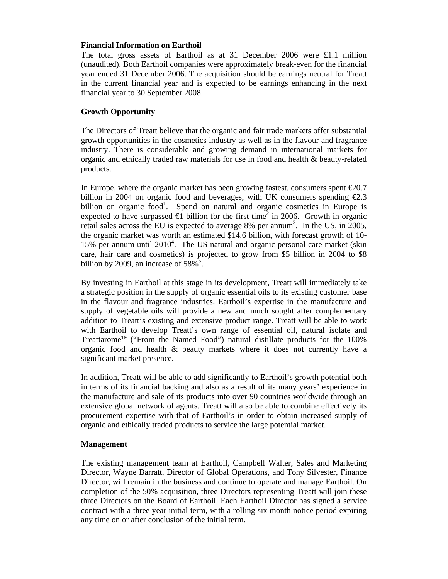#### **Financial Information on Earthoil**

The total gross assets of Earthoil as at 31 December 2006 were £1.1 million (unaudited). Both Earthoil companies were approximately break-even for the financial year ended 31 December 2006. The acquisition should be earnings neutral for Treatt in the current financial year and is expected to be earnings enhancing in the next financial year to 30 September 2008.

### **Growth Opportunity**

The Directors of Treatt believe that the organic and fair trade markets offer substantial growth opportunities in the cosmetics industry as well as in the flavour and fragrance industry. There is considerable and growing demand in international markets for organic and ethically traded raw materials for use in food and health & beauty-related products.

In Europe, where the organic market has been growing fastest, consumers spent  $\epsilon$ 20.7 billion in 2004 on organic food and beverages, with UK consumers spending  $\epsilon 2.3$ billion on organic food<sup>1</sup>. Spend on natural and organic cosmetics in Europe is expected to have surpassed  $\epsilon \bar{l}$  billion for the first time<sup>2</sup> in 2006. Growth in organic retail sales across the EU is expected to average  $8\%$  per annum<sup>3</sup>. In the US, in 2005, the organic market was worth an estimated \$14.6 billion, with forecast growth of 10- 15% per annum until 2010<sup>4</sup>. The US natural and organic personal care market (skin care, hair care and cosmetics) is projected to grow from \$5 billion in 2004 to \$8 billion by 2009, an increase of  $58\%$ <sup>5</sup>.

By investing in Earthoil at this stage in its development, Treatt will immediately take a strategic position in the supply of organic essential oils to its existing customer base in the flavour and fragrance industries. Earthoil's expertise in the manufacture and supply of vegetable oils will provide a new and much sought after complementary addition to Treatt's existing and extensive product range. Treatt will be able to work with Earthoil to develop Treatt's own range of essential oil, natural isolate and Treattarome<sup>TM</sup> ("From the Named Food") natural distillate products for the  $100\%$ organic food and health & beauty markets where it does not currently have a significant market presence.

In addition, Treatt will be able to add significantly to Earthoil's growth potential both in terms of its financial backing and also as a result of its many years' experience in the manufacture and sale of its products into over 90 countries worldwide through an extensive global network of agents. Treatt will also be able to combine effectively its procurement expertise with that of Earthoil's in order to obtain increased supply of organic and ethically traded products to service the large potential market.

### **Management**

The existing management team at Earthoil, Campbell Walter, Sales and Marketing Director, Wayne Barratt, Director of Global Operations, and Tony Silvester, Finance Director, will remain in the business and continue to operate and manage Earthoil. On completion of the 50% acquisition, three Directors representing Treatt will join these three Directors on the Board of Earthoil. Each Earthoil Director has signed a service contract with a three year initial term, with a rolling six month notice period expiring any time on or after conclusion of the initial term.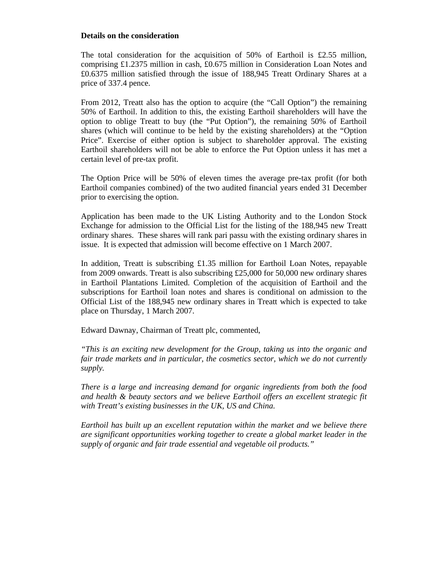#### **Details on the consideration**

The total consideration for the acquisition of 50% of Earthoil is £2.55 million, comprising £1.2375 million in cash, £0.675 million in Consideration Loan Notes and £0.6375 million satisfied through the issue of 188,945 Treatt Ordinary Shares at a price of 337.4 pence.

From 2012, Treatt also has the option to acquire (the "Call Option") the remaining 50% of Earthoil. In addition to this, the existing Earthoil shareholders will have the option to oblige Treatt to buy (the "Put Option"), the remaining 50% of Earthoil shares (which will continue to be held by the existing shareholders) at the "Option Price". Exercise of either option is subject to shareholder approval. The existing Earthoil shareholders will not be able to enforce the Put Option unless it has met a certain level of pre-tax profit.

The Option Price will be 50% of eleven times the average pre-tax profit (for both Earthoil companies combined) of the two audited financial years ended 31 December prior to exercising the option.

Application has been made to the UK Listing Authority and to the London Stock Exchange for admission to the Official List for the listing of the 188,945 new Treatt ordinary shares. These shares will rank pari passu with the existing ordinary shares in issue. It is expected that admission will become effective on 1 March 2007.

In addition, Treatt is subscribing £1.35 million for Earthoil Loan Notes, repayable from 2009 onwards. Treatt is also subscribing £25,000 for 50,000 new ordinary shares in Earthoil Plantations Limited. Completion of the acquisition of Earthoil and the subscriptions for Earthoil loan notes and shares is conditional on admission to the Official List of the 188,945 new ordinary shares in Treatt which is expected to take place on Thursday, 1 March 2007.

Edward Dawnay, Chairman of Treatt plc, commented,

*"This is an exciting new development for the Group, taking us into the organic and fair trade markets and in particular, the cosmetics sector, which we do not currently supply.* 

*There is a large and increasing demand for organic ingredients from both the food and health & beauty sectors and we believe Earthoil offers an excellent strategic fit with Treatt's existing businesses in the UK, US and China.* 

*Earthoil has built up an excellent reputation within the market and we believe there are significant opportunities working together to create a global market leader in the supply of organic and fair trade essential and vegetable oil products."*